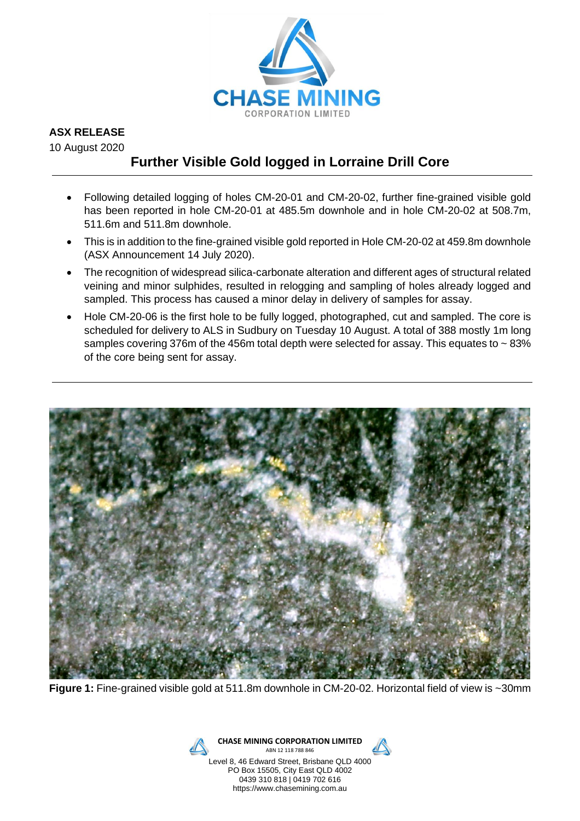

**ASX RELEASE** 10 August 2020

# **Further Visible Gold logged in Lorraine Drill Core**

- Following detailed logging of holes CM-20-01 and CM-20-02, further fine-grained visible gold has been reported in hole CM-20-01 at 485.5m downhole and in hole CM-20-02 at 508.7m, 511.6m and 511.8m downhole.
- This is in addition to the fine-grained visible gold reported in Hole CM-20-02 at 459.8m downhole (ASX Announcement 14 July 2020).
- The recognition of widespread silica-carbonate alteration and different ages of structural related veining and minor sulphides, resulted in relogging and sampling of holes already logged and sampled. This process has caused a minor delay in delivery of samples for assay.
- Hole CM-20-06 is the first hole to be fully logged, photographed, cut and sampled. The core is scheduled for delivery to ALS in Sudbury on Tuesday 10 August. A total of 388 mostly 1m long samples covering 376m of the 456m total depth were selected for assay. This equates to ~ 83% of the core being sent for assay.



**Figure 1:** Fine-grained visible gold at 511.8m downhole in CM-20-02. Horizontal field of view is ~30mm

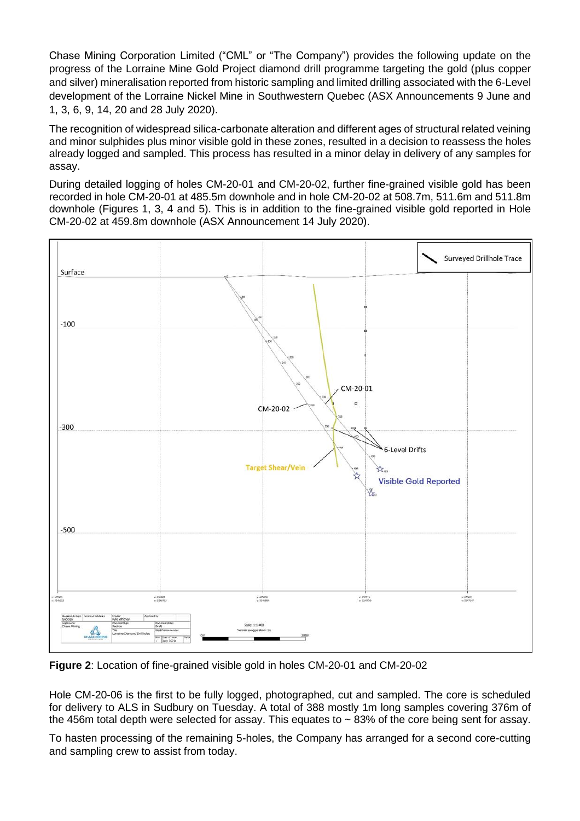Chase Mining Corporation Limited ("CML" or "The Company") provides the following update on the progress of the Lorraine Mine Gold Project diamond drill programme targeting the gold (plus copper and silver) mineralisation reported from historic sampling and limited drilling associated with the 6-Level development of the Lorraine Nickel Mine in Southwestern Quebec (ASX Announcements 9 June and 1, 3, 6, 9, 14, 20 and 28 July 2020).

The recognition of widespread silica-carbonate alteration and different ages of structural related veining and minor sulphides plus minor visible gold in these zones, resulted in a decision to reassess the holes already logged and sampled. This process has resulted in a minor delay in delivery of any samples for assay.

During detailed logging of holes CM-20-01 and CM-20-02, further fine-grained visible gold has been recorded in hole CM-20-01 at 485.5m downhole and in hole CM-20-02 at 508.7m, 511.6m and 511.8m downhole (Figures 1, 3, 4 and 5). This is in addition to the fine-grained visible gold reported in Hole CM-20-02 at 459.8m downhole (ASX Announcement 14 July 2020).



**Figure 2**: Location of fine-grained visible gold in holes CM-20-01 and CM-20-02

Hole CM-20-06 is the first to be fully logged, photographed, cut and sampled. The core is scheduled for delivery to ALS in Sudbury on Tuesday. A total of 388 mostly 1m long samples covering 376m of the 456m total depth were selected for assay. This equates to  $\sim$  83% of the core being sent for assay.

To hasten processing of the remaining 5-holes, the Company has arranged for a second core-cutting and sampling crew to assist from today.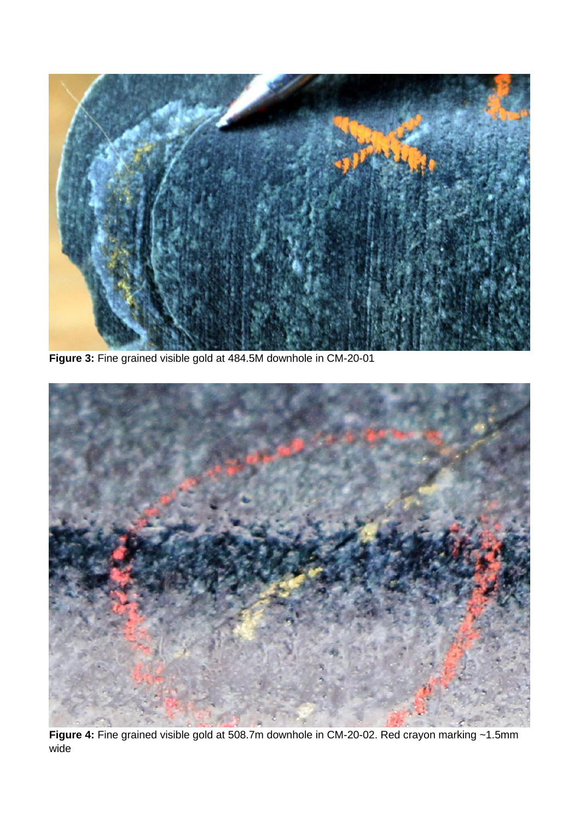

**Figure 3:** Fine grained visible gold at 484.5M downhole in CM-20-01



**Figure 4:** Fine grained visible gold at 508.7m downhole in CM-20-02. Red crayon marking ~1.5mm wide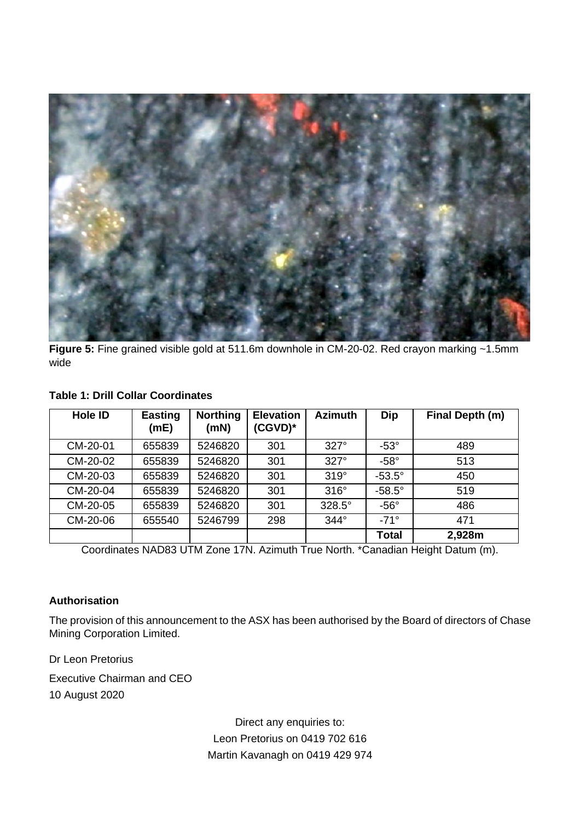

**Figure 5:** Fine grained visible gold at 511.6m downhole in CM-20-02. Red crayon marking ~1.5mm wide

| <b>Hole ID</b> | <b>Easting</b><br>(mE) | <b>Northing</b><br>(mN) | <b>Elevation</b><br>(CGVD)* | <b>Azimuth</b> | Dip           | Final Depth (m) |
|----------------|------------------------|-------------------------|-----------------------------|----------------|---------------|-----------------|
| CM-20-01       | 655839                 | 5246820                 | 301                         | $327^\circ$    | $-53^\circ$   | 489             |
| CM-20-02       | 655839                 | 5246820                 | 301                         | $327^\circ$    | $-58^\circ$   | 513             |
| CM-20-03       | 655839                 | 5246820                 | 301                         | $319^\circ$    | $-53.5^\circ$ | 450             |
| CM-20-04       | 655839                 | 5246820                 | 301                         | $316^\circ$    | $-58.5^\circ$ | 519             |
| CM-20-05       | 655839                 | 5246820                 | 301                         | $328.5^\circ$  | $-56^\circ$   | 486             |
| CM-20-06       | 655540                 | 5246799                 | 298                         | $344^\circ$    | $-71^\circ$   | 471             |
|                |                        |                         |                             |                | <b>Total</b>  | 2,928m          |

#### **Table 1: Drill Collar Coordinates**

Coordinates NAD83 UTM Zone 17N. Azimuth True North. \*Canadian Height Datum (m).

#### **Authorisation**

The provision of this announcement to the ASX has been authorised by the Board of directors of Chase Mining Corporation Limited.

Dr Leon Pretorius

Executive Chairman and CEO

10 August 2020

Direct any enquiries to: Leon Pretorius on 0419 702 616 Martin Kavanagh on 0419 429 974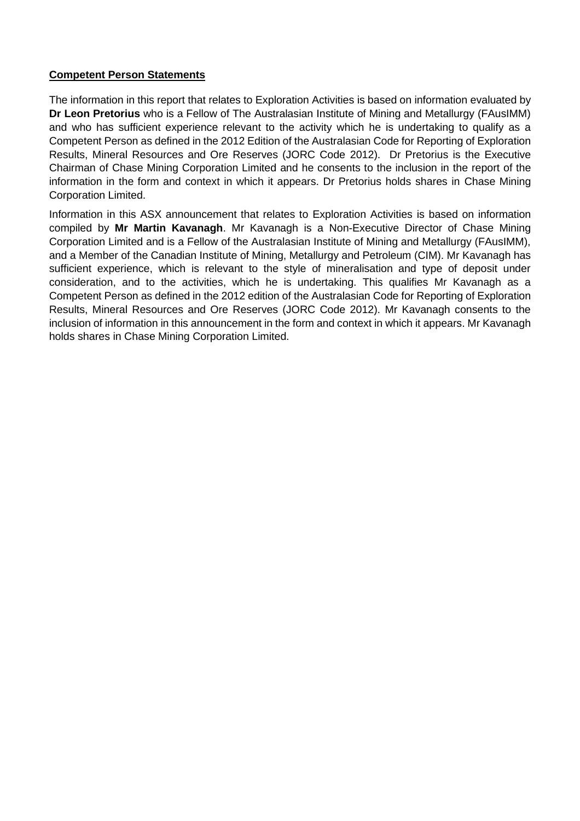#### **Competent Person Statements**

The information in this report that relates to Exploration Activities is based on information evaluated by **Dr Leon Pretorius** who is a Fellow of The Australasian Institute of Mining and Metallurgy (FAusIMM) and who has sufficient experience relevant to the activity which he is undertaking to qualify as a Competent Person as defined in the 2012 Edition of the Australasian Code for Reporting of Exploration Results, Mineral Resources and Ore Reserves (JORC Code 2012). Dr Pretorius is the Executive Chairman of Chase Mining Corporation Limited and he consents to the inclusion in the report of the information in the form and context in which it appears. Dr Pretorius holds shares in Chase Mining Corporation Limited.

Information in this ASX announcement that relates to Exploration Activities is based on information compiled by **Mr Martin Kavanagh**. Mr Kavanagh is a Non-Executive Director of Chase Mining Corporation Limited and is a Fellow of the Australasian Institute of Mining and Metallurgy (FAusIMM), and a Member of the Canadian Institute of Mining, Metallurgy and Petroleum (CIM). Mr Kavanagh has sufficient experience, which is relevant to the style of mineralisation and type of deposit under consideration, and to the activities, which he is undertaking. This qualifies Mr Kavanagh as a Competent Person as defined in the 2012 edition of the Australasian Code for Reporting of Exploration Results, Mineral Resources and Ore Reserves (JORC Code 2012). Mr Kavanagh consents to the inclusion of information in this announcement in the form and context in which it appears. Mr Kavanagh holds shares in Chase Mining Corporation Limited.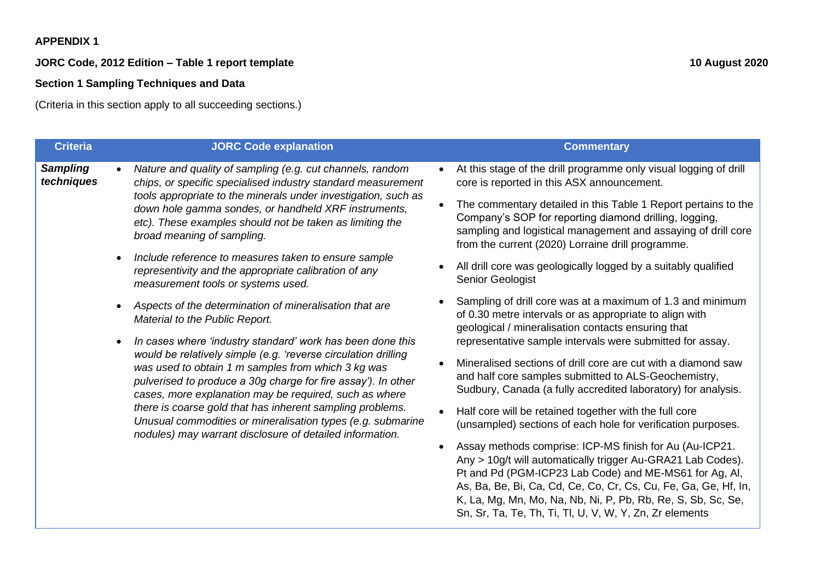### **APPENDIX 1**

**JORC Code, 2012 Edition – Table 1 report template 10 August 2020 10 August 2020** 

## **Section 1 Sampling Techniques and Data**

(Criteria in this section apply to all succeeding sections.)

| <b>Criteria</b>                                                                                                                                                                                                                                                                                                                                                                                                                                                                                                                     | <b>JORC Code explanation</b>                                                                                                                                                                                     | <b>Commentary</b>                                                                                                                                                                                                                                   |
|-------------------------------------------------------------------------------------------------------------------------------------------------------------------------------------------------------------------------------------------------------------------------------------------------------------------------------------------------------------------------------------------------------------------------------------------------------------------------------------------------------------------------------------|------------------------------------------------------------------------------------------------------------------------------------------------------------------------------------------------------------------|-----------------------------------------------------------------------------------------------------------------------------------------------------------------------------------------------------------------------------------------------------|
| <b>Sampling</b><br>techniques                                                                                                                                                                                                                                                                                                                                                                                                                                                                                                       | Nature and quality of sampling (e.g. cut channels, random<br>chips, or specific specialised industry standard measurement                                                                                        | At this stage of the drill programme only visual logging of drill<br>core is reported in this ASX announcement.                                                                                                                                     |
|                                                                                                                                                                                                                                                                                                                                                                                                                                                                                                                                     | tools appropriate to the minerals under investigation, such as<br>down hole gamma sondes, or handheld XRF instruments,<br>etc). These examples should not be taken as limiting the<br>broad meaning of sampling. | The commentary detailed in this Table 1 Report pertains to the<br>Company's SOP for reporting diamond drilling, logging,<br>sampling and logistical management and assaying of drill core<br>from the current (2020) Lorraine drill programme.      |
|                                                                                                                                                                                                                                                                                                                                                                                                                                                                                                                                     | Include reference to measures taken to ensure sample<br>representivity and the appropriate calibration of any<br>measurement tools or systems used.                                                              | All drill core was geologically logged by a suitably qualified<br>Senior Geologist                                                                                                                                                                  |
| Aspects of the determination of mineralisation that are<br>Material to the Public Report.<br>In cases where 'industry standard' work has been done this<br>would be relatively simple (e.g. 'reverse circulation drilling<br>was used to obtain 1 m samples from which 3 kg was<br>pulverised to produce a 30g charge for fire assay'). In other<br>cases, more explanation may be required, such as where<br>there is coarse gold that has inherent sampling problems.<br>nodules) may warrant disclosure of detailed information. | Sampling of drill core was at a maximum of 1.3 and minimum<br>of 0.30 metre intervals or as appropriate to align with<br>geological / mineralisation contacts ensuring that                                      |                                                                                                                                                                                                                                                     |
|                                                                                                                                                                                                                                                                                                                                                                                                                                                                                                                                     |                                                                                                                                                                                                                  | representative sample intervals were submitted for assay.                                                                                                                                                                                           |
|                                                                                                                                                                                                                                                                                                                                                                                                                                                                                                                                     |                                                                                                                                                                                                                  | Mineralised sections of drill core are cut with a diamond saw<br>and half core samples submitted to ALS-Geochemistry,<br>Sudbury, Canada (a fully accredited laboratory) for analysis.                                                              |
|                                                                                                                                                                                                                                                                                                                                                                                                                                                                                                                                     | Unusual commodities or mineralisation types (e.g. submarine                                                                                                                                                      | Half core will be retained together with the full core<br>(unsampled) sections of each hole for verification purposes.                                                                                                                              |
|                                                                                                                                                                                                                                                                                                                                                                                                                                                                                                                                     |                                                                                                                                                                                                                  | Assay methods comprise: ICP-MS finish for Au (Au-ICP21.<br>Any > 10g/t will automatically trigger Au-GRA21 Lab Codes).<br>Pt and Pd (PGM-ICP23 Lab Code) and ME-MS61 for Ag, Al,<br>As, Ba, Be, Bi, Ca, Cd, Ce, Co, Cr, Cs, Cu, Fe, Ga, Ge, Hf, In, |

K, La, Mg, Mn, Mo, Na, Nb, Ni, P, Pb, Rb, Re, S, Sb, Sc, Se,

Sn, Sr, Ta, Te, Th, Ti, Tl, U, V, W, Y, Zn, Zr elements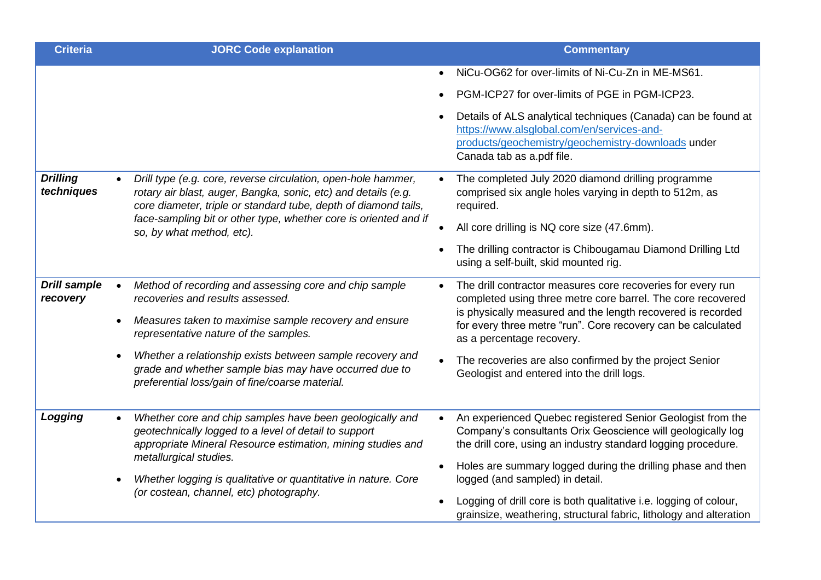| <b>Criteria</b>                 | <b>JORC Code explanation</b>                                                                                                                                                                                                                                                                                     | <b>Commentary</b>                                                                                                                                                                                                                                                                                         |
|---------------------------------|------------------------------------------------------------------------------------------------------------------------------------------------------------------------------------------------------------------------------------------------------------------------------------------------------------------|-----------------------------------------------------------------------------------------------------------------------------------------------------------------------------------------------------------------------------------------------------------------------------------------------------------|
|                                 |                                                                                                                                                                                                                                                                                                                  | NiCu-OG62 for over-limits of Ni-Cu-Zn in ME-MS61.                                                                                                                                                                                                                                                         |
|                                 |                                                                                                                                                                                                                                                                                                                  | PGM-ICP27 for over-limits of PGE in PGM-ICP23.<br>$\bullet$                                                                                                                                                                                                                                               |
|                                 |                                                                                                                                                                                                                                                                                                                  | Details of ALS analytical techniques (Canada) can be found at<br>https://www.alsglobal.com/en/services-and-<br>products/geochemistry/geochemistry-downloads under<br>Canada tab as a.pdf file.                                                                                                            |
| <b>Drilling</b><br>techniques   | Drill type (e.g. core, reverse circulation, open-hole hammer,<br>$\bullet$<br>rotary air blast, auger, Bangka, sonic, etc) and details (e.g.<br>core diameter, triple or standard tube, depth of diamond tails,<br>face-sampling bit or other type, whether core is oriented and if<br>so, by what method, etc). | The completed July 2020 diamond drilling programme<br>comprised six angle holes varying in depth to 512m, as<br>required.<br>All core drilling is NQ core size (47.6mm).                                                                                                                                  |
|                                 |                                                                                                                                                                                                                                                                                                                  | The drilling contractor is Chibougamau Diamond Drilling Ltd<br>using a self-built, skid mounted rig.                                                                                                                                                                                                      |
| <b>Drill sample</b><br>recovery | Method of recording and assessing core and chip sample<br>$\bullet$<br>recoveries and results assessed.<br>Measures taken to maximise sample recovery and ensure<br>$\bullet$<br>representative nature of the samples.                                                                                           | The drill contractor measures core recoveries for every run<br>completed using three metre core barrel. The core recovered<br>is physically measured and the length recovered is recorded<br>for every three metre "run". Core recovery can be calculated<br>as a percentage recovery.                    |
|                                 | Whether a relationship exists between sample recovery and<br>grade and whether sample bias may have occurred due to<br>preferential loss/gain of fine/coarse material.                                                                                                                                           | The recoveries are also confirmed by the project Senior<br>Geologist and entered into the drill logs.                                                                                                                                                                                                     |
| Logging                         | Whether core and chip samples have been geologically and<br>$\bullet$<br>geotechnically logged to a level of detail to support<br>appropriate Mineral Resource estimation, mining studies and<br>metallurgical studies.<br>Whether logging is qualitative or quantitative in nature. Core                        | An experienced Quebec registered Senior Geologist from the<br>Company's consultants Orix Geoscience will geologically log<br>the drill core, using an industry standard logging procedure.<br>Holes are summary logged during the drilling phase and then<br>$\bullet$<br>logged (and sampled) in detail. |
|                                 | (or costean, channel, etc) photography.                                                                                                                                                                                                                                                                          | Logging of drill core is both qualitative i.e. logging of colour,<br>grainsize, weathering, structural fabric, lithology and alteration                                                                                                                                                                   |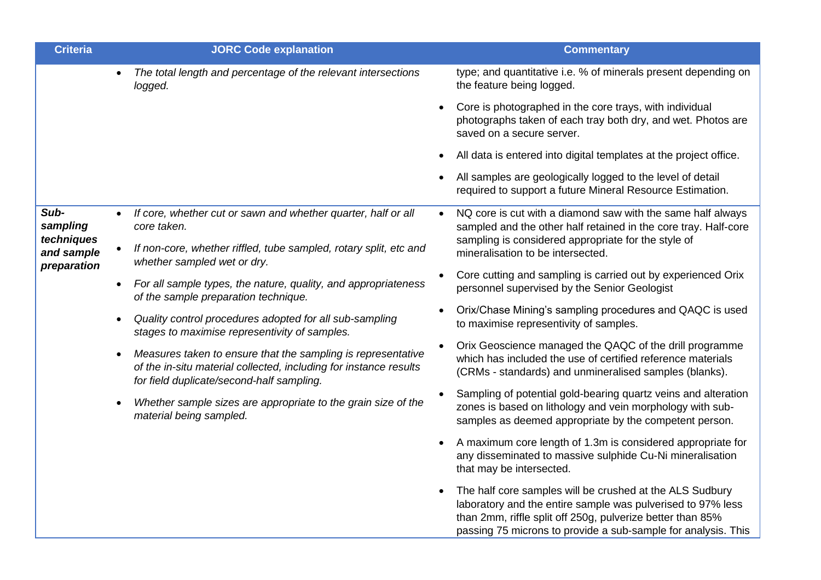| <b>Criteria</b>                         | <b>JORC Code explanation</b>                                                                                                                                                                | <b>Commentary</b>                                                                                                                                                                                                                                      |
|-----------------------------------------|---------------------------------------------------------------------------------------------------------------------------------------------------------------------------------------------|--------------------------------------------------------------------------------------------------------------------------------------------------------------------------------------------------------------------------------------------------------|
|                                         | The total length and percentage of the relevant intersections<br>logged.                                                                                                                    | type; and quantitative i.e. % of minerals present depending on<br>the feature being logged.                                                                                                                                                            |
|                                         |                                                                                                                                                                                             | Core is photographed in the core trays, with individual<br>photographs taken of each tray both dry, and wet. Photos are<br>saved on a secure server.                                                                                                   |
|                                         |                                                                                                                                                                                             | All data is entered into digital templates at the project office.                                                                                                                                                                                      |
|                                         |                                                                                                                                                                                             | All samples are geologically logged to the level of detail<br>required to support a future Mineral Resource Estimation.                                                                                                                                |
| Sub-<br>sampling                        | If core, whether cut or sawn and whether quarter, half or all<br>$\bullet$<br>core taken.                                                                                                   | NQ core is cut with a diamond saw with the same half always<br>$\bullet$<br>sampled and the other half retained in the core tray. Half-core                                                                                                            |
| techniques<br>and sample<br>preparation | If non-core, whether riffled, tube sampled, rotary split, etc and<br>whether sampled wet or dry.                                                                                            | sampling is considered appropriate for the style of<br>mineralisation to be intersected.                                                                                                                                                               |
|                                         | For all sample types, the nature, quality, and appropriateness<br>$\bullet$<br>of the sample preparation technique.                                                                         | Core cutting and sampling is carried out by experienced Orix<br>personnel supervised by the Senior Geologist                                                                                                                                           |
|                                         | Quality control procedures adopted for all sub-sampling<br>$\bullet$<br>stages to maximise representivity of samples.                                                                       | Orix/Chase Mining's sampling procedures and QAQC is used<br>to maximise representivity of samples.                                                                                                                                                     |
|                                         | Measures taken to ensure that the sampling is representative<br>$\bullet$<br>of the in-situ material collected, including for instance results<br>for field duplicate/second-half sampling. | Orix Geoscience managed the QAQC of the drill programme<br>which has included the use of certified reference materials<br>(CRMs - standards) and unmineralised samples (blanks).                                                                       |
|                                         | Whether sample sizes are appropriate to the grain size of the<br>$\bullet$<br>material being sampled.                                                                                       | Sampling of potential gold-bearing quartz veins and alteration<br>zones is based on lithology and vein morphology with sub-<br>samples as deemed appropriate by the competent person.                                                                  |
|                                         |                                                                                                                                                                                             | A maximum core length of 1.3m is considered appropriate for<br>any disseminated to massive sulphide Cu-Ni mineralisation<br>that may be intersected.                                                                                                   |
|                                         |                                                                                                                                                                                             | The half core samples will be crushed at the ALS Sudbury<br>laboratory and the entire sample was pulverised to 97% less<br>than 2mm, riffle split off 250g, pulverize better than 85%<br>passing 75 microns to provide a sub-sample for analysis. This |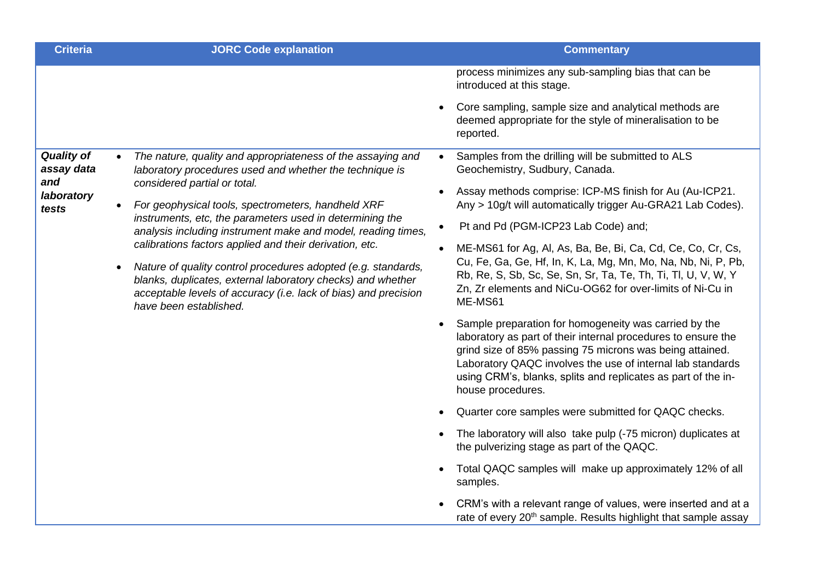| process minimizes any sub-sampling bias that can be<br>introduced at this stage.<br>Core sampling, sample size and analytical methods are<br>deemed appropriate for the style of mineralisation to be<br>reported.<br><b>Quality of</b><br>Samples from the drilling will be submitted to ALS<br>The nature, quality and appropriateness of the assaying and<br>$\bullet$<br>laboratory procedures used and whether the technique is<br>Geochemistry, Sudbury, Canada.<br>assay data<br>and<br>considered partial or total.<br>Assay methods comprise: ICP-MS finish for Au (Au-ICP21.<br>laboratory<br>Any > 10g/t will automatically trigger Au-GRA21 Lab Codes).<br>For geophysical tools, spectrometers, handheld XRF<br>$\bullet$<br>tests<br>instruments, etc, the parameters used in determining the<br>Pt and Pd (PGM-ICP23 Lab Code) and;<br>analysis including instrument make and model, reading times,<br>calibrations factors applied and their derivation, etc.<br>ME-MS61 for Ag, Al, As, Ba, Be, Bi, Ca, Cd, Ce, Co, Cr, Cs,<br>Cu, Fe, Ga, Ge, Hf, In, K, La, Mg, Mn, Mo, Na, Nb, Ni, P, Pb,<br>Nature of quality control procedures adopted (e.g. standards,<br>$\bullet$<br>Rb, Re, S, Sb, Sc, Se, Sn, Sr, Ta, Te, Th, Ti, Tl, U, V, W, Y<br>blanks, duplicates, external laboratory checks) and whether<br>Zn, Zr elements and NiCu-OG62 for over-limits of Ni-Cu in<br>acceptable levels of accuracy (i.e. lack of bias) and precision<br>ME-MS61<br>have been established.<br>Sample preparation for homogeneity was carried by the<br>laboratory as part of their internal procedures to ensure the<br>grind size of 85% passing 75 microns was being attained. |
|----------------------------------------------------------------------------------------------------------------------------------------------------------------------------------------------------------------------------------------------------------------------------------------------------------------------------------------------------------------------------------------------------------------------------------------------------------------------------------------------------------------------------------------------------------------------------------------------------------------------------------------------------------------------------------------------------------------------------------------------------------------------------------------------------------------------------------------------------------------------------------------------------------------------------------------------------------------------------------------------------------------------------------------------------------------------------------------------------------------------------------------------------------------------------------------------------------------------------------------------------------------------------------------------------------------------------------------------------------------------------------------------------------------------------------------------------------------------------------------------------------------------------------------------------------------------------------------------------------------------------------------------------------------------------------------|
|                                                                                                                                                                                                                                                                                                                                                                                                                                                                                                                                                                                                                                                                                                                                                                                                                                                                                                                                                                                                                                                                                                                                                                                                                                                                                                                                                                                                                                                                                                                                                                                                                                                                                        |
|                                                                                                                                                                                                                                                                                                                                                                                                                                                                                                                                                                                                                                                                                                                                                                                                                                                                                                                                                                                                                                                                                                                                                                                                                                                                                                                                                                                                                                                                                                                                                                                                                                                                                        |
|                                                                                                                                                                                                                                                                                                                                                                                                                                                                                                                                                                                                                                                                                                                                                                                                                                                                                                                                                                                                                                                                                                                                                                                                                                                                                                                                                                                                                                                                                                                                                                                                                                                                                        |
|                                                                                                                                                                                                                                                                                                                                                                                                                                                                                                                                                                                                                                                                                                                                                                                                                                                                                                                                                                                                                                                                                                                                                                                                                                                                                                                                                                                                                                                                                                                                                                                                                                                                                        |
|                                                                                                                                                                                                                                                                                                                                                                                                                                                                                                                                                                                                                                                                                                                                                                                                                                                                                                                                                                                                                                                                                                                                                                                                                                                                                                                                                                                                                                                                                                                                                                                                                                                                                        |
|                                                                                                                                                                                                                                                                                                                                                                                                                                                                                                                                                                                                                                                                                                                                                                                                                                                                                                                                                                                                                                                                                                                                                                                                                                                                                                                                                                                                                                                                                                                                                                                                                                                                                        |
| Laboratory QAQC involves the use of internal lab standards<br>using CRM's, blanks, splits and replicates as part of the in-<br>house procedures.                                                                                                                                                                                                                                                                                                                                                                                                                                                                                                                                                                                                                                                                                                                                                                                                                                                                                                                                                                                                                                                                                                                                                                                                                                                                                                                                                                                                                                                                                                                                       |
| Quarter core samples were submitted for QAQC checks.                                                                                                                                                                                                                                                                                                                                                                                                                                                                                                                                                                                                                                                                                                                                                                                                                                                                                                                                                                                                                                                                                                                                                                                                                                                                                                                                                                                                                                                                                                                                                                                                                                   |
| The laboratory will also take pulp (-75 micron) duplicates at<br>the pulverizing stage as part of the QAQC.                                                                                                                                                                                                                                                                                                                                                                                                                                                                                                                                                                                                                                                                                                                                                                                                                                                                                                                                                                                                                                                                                                                                                                                                                                                                                                                                                                                                                                                                                                                                                                            |
| Total QAQC samples will make up approximately 12% of all<br>samples.                                                                                                                                                                                                                                                                                                                                                                                                                                                                                                                                                                                                                                                                                                                                                                                                                                                                                                                                                                                                                                                                                                                                                                                                                                                                                                                                                                                                                                                                                                                                                                                                                   |
| CRM's with a relevant range of values, were inserted and at a<br>rate of every 20 <sup>th</sup> sample. Results highlight that sample assay                                                                                                                                                                                                                                                                                                                                                                                                                                                                                                                                                                                                                                                                                                                                                                                                                                                                                                                                                                                                                                                                                                                                                                                                                                                                                                                                                                                                                                                                                                                                            |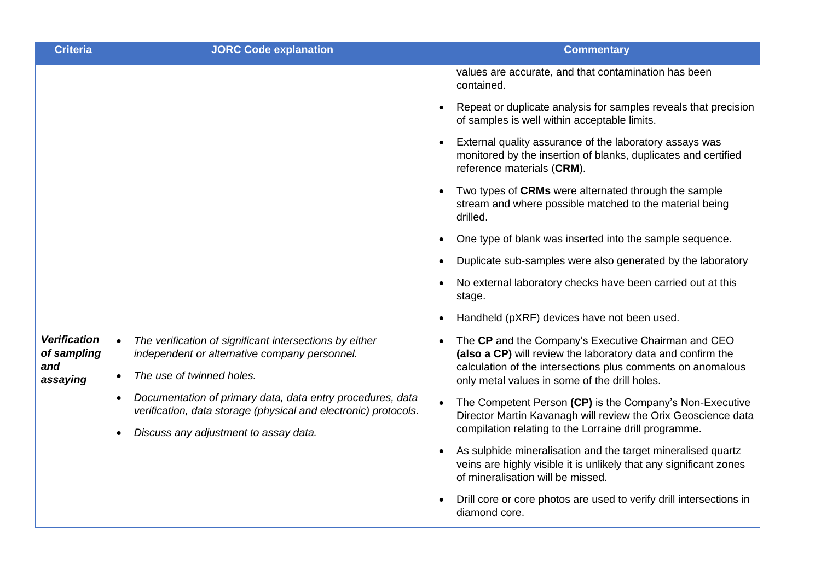| <b>Criteria</b>                                       | <b>JORC Code explanation</b>                                                                                                                                                        | <b>Commentary</b>                                                                                                                                                                                                                  |
|-------------------------------------------------------|-------------------------------------------------------------------------------------------------------------------------------------------------------------------------------------|------------------------------------------------------------------------------------------------------------------------------------------------------------------------------------------------------------------------------------|
|                                                       |                                                                                                                                                                                     | values are accurate, and that contamination has been<br>contained.                                                                                                                                                                 |
|                                                       |                                                                                                                                                                                     | Repeat or duplicate analysis for samples reveals that precision<br>of samples is well within acceptable limits.                                                                                                                    |
|                                                       |                                                                                                                                                                                     | External quality assurance of the laboratory assays was<br>monitored by the insertion of blanks, duplicates and certified<br>reference materials (CRM).                                                                            |
|                                                       |                                                                                                                                                                                     | Two types of CRMs were alternated through the sample<br>stream and where possible matched to the material being<br>drilled.                                                                                                        |
|                                                       |                                                                                                                                                                                     | One type of blank was inserted into the sample sequence.                                                                                                                                                                           |
|                                                       |                                                                                                                                                                                     | Duplicate sub-samples were also generated by the laboratory                                                                                                                                                                        |
|                                                       |                                                                                                                                                                                     | No external laboratory checks have been carried out at this<br>stage.                                                                                                                                                              |
|                                                       |                                                                                                                                                                                     | Handheld (pXRF) devices have not been used.                                                                                                                                                                                        |
| <b>Verification</b><br>of sampling<br>and<br>assaying | The verification of significant intersections by either<br>$\bullet$<br>independent or alternative company personnel.<br>The use of twinned holes.                                  | The CP and the Company's Executive Chairman and CEO<br>(also a CP) will review the laboratory data and confirm the<br>calculation of the intersections plus comments on anomalous<br>only metal values in some of the drill holes. |
|                                                       | Documentation of primary data, data entry procedures, data<br>$\bullet$<br>verification, data storage (physical and electronic) protocols.<br>Discuss any adjustment to assay data. | The Competent Person (CP) is the Company's Non-Executive<br>Director Martin Kavanagh will review the Orix Geoscience data<br>compilation relating to the Lorraine drill programme.                                                 |
|                                                       |                                                                                                                                                                                     | As sulphide mineralisation and the target mineralised quartz<br>veins are highly visible it is unlikely that any significant zones<br>of mineralisation will be missed.                                                            |
|                                                       |                                                                                                                                                                                     | Drill core or core photos are used to verify drill intersections in<br>diamond core.                                                                                                                                               |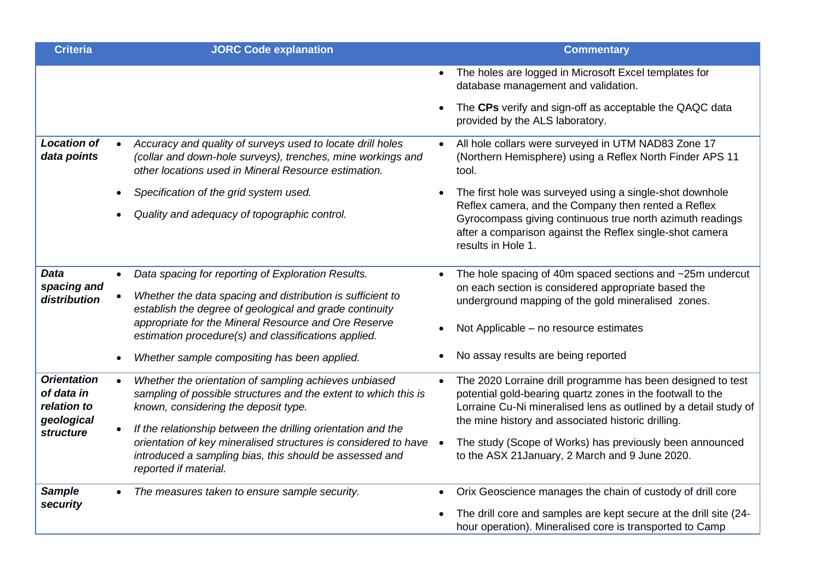| <b>Criteria</b>                                                                   | <b>JORC Code explanation</b>                                                                                                                                                                                                                                                                                                                                                                                      | <b>Commentary</b>                                                                                                                                                                                                                                                                                                                                                  |
|-----------------------------------------------------------------------------------|-------------------------------------------------------------------------------------------------------------------------------------------------------------------------------------------------------------------------------------------------------------------------------------------------------------------------------------------------------------------------------------------------------------------|--------------------------------------------------------------------------------------------------------------------------------------------------------------------------------------------------------------------------------------------------------------------------------------------------------------------------------------------------------------------|
|                                                                                   |                                                                                                                                                                                                                                                                                                                                                                                                                   | The holes are logged in Microsoft Excel templates for<br>database management and validation.                                                                                                                                                                                                                                                                       |
|                                                                                   |                                                                                                                                                                                                                                                                                                                                                                                                                   | The CPs verify and sign-off as acceptable the QAQC data<br>provided by the ALS laboratory.                                                                                                                                                                                                                                                                         |
| <b>Location of</b><br>data points                                                 | Accuracy and quality of surveys used to locate drill holes<br>$\bullet$<br>(collar and down-hole surveys), trenches, mine workings and<br>other locations used in Mineral Resource estimation.                                                                                                                                                                                                                    | All hole collars were surveyed in UTM NAD83 Zone 17<br>(Northern Hemisphere) using a Reflex North Finder APS 11<br>tool.                                                                                                                                                                                                                                           |
|                                                                                   | Specification of the grid system used.<br>Quality and adequacy of topographic control.                                                                                                                                                                                                                                                                                                                            | The first hole was surveyed using a single-shot downhole<br>Reflex camera, and the Company then rented a Reflex<br>Gyrocompass giving continuous true north azimuth readings<br>after a comparison against the Reflex single-shot camera<br>results in Hole 1.                                                                                                     |
| <b>Data</b><br>spacing and<br>distribution                                        | Data spacing for reporting of Exploration Results.<br>$\bullet$<br>Whether the data spacing and distribution is sufficient to<br>$\bullet$<br>establish the degree of geological and grade continuity<br>appropriate for the Mineral Resource and Ore Reserve<br>estimation procedure(s) and classifications applied.<br>Whether sample compositing has been applied.                                             | The hole spacing of 40m spaced sections and ~25m undercut<br>on each section is considered appropriate based the<br>underground mapping of the gold mineralised zones.<br>Not Applicable - no resource estimates<br>No assay results are being reported                                                                                                            |
| <b>Orientation</b><br>of data in<br>relation to<br>geological<br><b>structure</b> | Whether the orientation of sampling achieves unbiased<br>$\bullet$<br>sampling of possible structures and the extent to which this is<br>known, considering the deposit type.<br>If the relationship between the drilling orientation and the<br>$\bullet$<br>orientation of key mineralised structures is considered to have<br>introduced a sampling bias, this should be assessed and<br>reported if material. | The 2020 Lorraine drill programme has been designed to test<br>potential gold-bearing quartz zones in the footwall to the<br>Lorraine Cu-Ni mineralised lens as outlined by a detail study of<br>the mine history and associated historic drilling.<br>The study (Scope of Works) has previously been announced<br>to the ASX 21 January, 2 March and 9 June 2020. |
| <b>Sample</b><br>security                                                         | The measures taken to ensure sample security.<br>$\bullet$                                                                                                                                                                                                                                                                                                                                                        | Orix Geoscience manages the chain of custody of drill core<br>The drill core and samples are kept secure at the drill site (24-<br>hour operation). Mineralised core is transported to Camp                                                                                                                                                                        |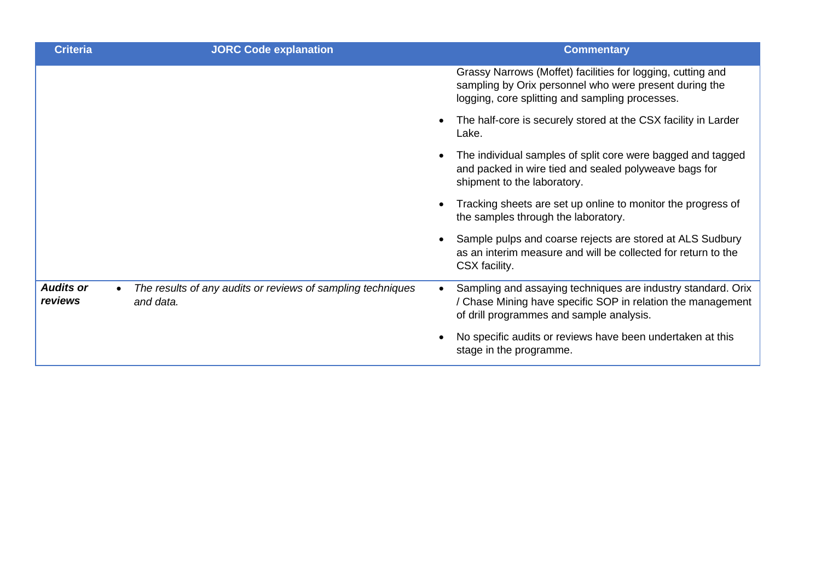| <b>Criteria</b>             | <b>JORC Code explanation</b>                                             | <b>Commentary</b>                                                                                                                                                        |
|-----------------------------|--------------------------------------------------------------------------|--------------------------------------------------------------------------------------------------------------------------------------------------------------------------|
|                             |                                                                          | Grassy Narrows (Moffet) facilities for logging, cutting and<br>sampling by Orix personnel who were present during the<br>logging, core splitting and sampling processes. |
|                             |                                                                          | The half-core is securely stored at the CSX facility in Larder<br>$\bullet$<br>Lake.                                                                                     |
|                             |                                                                          | The individual samples of split core were bagged and tagged<br>$\bullet$<br>and packed in wire tied and sealed polyweave bags for<br>shipment to the laboratory.         |
|                             |                                                                          | Tracking sheets are set up online to monitor the progress of<br>the samples through the laboratory.                                                                      |
|                             |                                                                          | Sample pulps and coarse rejects are stored at ALS Sudbury<br>as an interim measure and will be collected for return to the<br>CSX facility.                              |
| <b>Audits or</b><br>reviews | The results of any audits or reviews of sampling techniques<br>and data. | Sampling and assaying techniques are industry standard. Orix<br>/ Chase Mining have specific SOP in relation the management<br>of drill programmes and sample analysis.  |
|                             |                                                                          | No specific audits or reviews have been undertaken at this<br>stage in the programme.                                                                                    |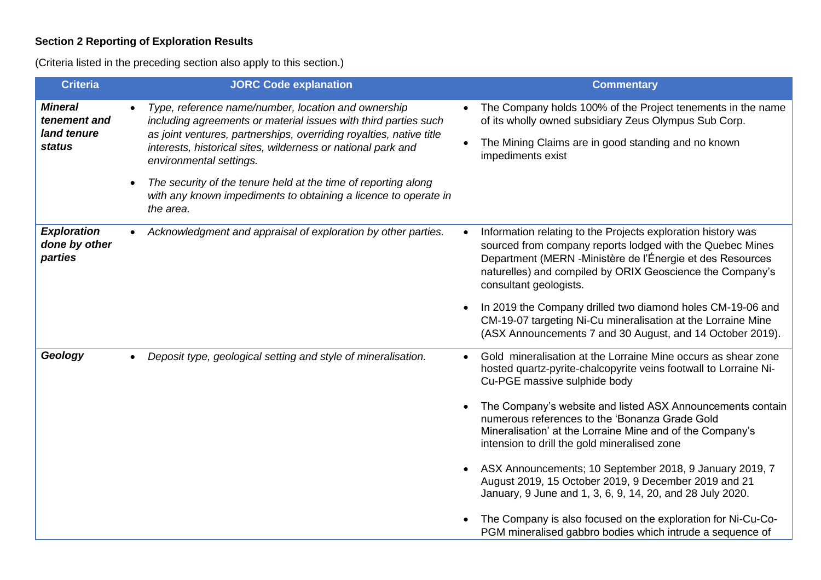# **Section 2 Reporting of Exploration Results**

(Criteria listed in the preceding section also apply to this section.)

| <b>Criteria</b>                                | <b>JORC Code explanation</b>                                                                                                                                   | <b>Commentary</b>                                                                                                                                                                                                                                                             |
|------------------------------------------------|----------------------------------------------------------------------------------------------------------------------------------------------------------------|-------------------------------------------------------------------------------------------------------------------------------------------------------------------------------------------------------------------------------------------------------------------------------|
| <b>Mineral</b><br>tenement and                 | Type, reference name/number, location and ownership<br>including agreements or material issues with third parties such                                         | The Company holds 100% of the Project tenements in the name<br>$\bullet$<br>of its wholly owned subsidiary Zeus Olympus Sub Corp.                                                                                                                                             |
| land tenure<br><b>status</b>                   | as joint ventures, partnerships, overriding royalties, native title<br>interests, historical sites, wilderness or national park and<br>environmental settings. | The Mining Claims are in good standing and no known<br>$\bullet$<br>impediments exist                                                                                                                                                                                         |
|                                                | The security of the tenure held at the time of reporting along<br>with any known impediments to obtaining a licence to operate in<br>the area.                 |                                                                                                                                                                                                                                                                               |
| <b>Exploration</b><br>done by other<br>parties | Acknowledgment and appraisal of exploration by other parties.                                                                                                  | Information relating to the Projects exploration history was<br>sourced from company reports lodged with the Quebec Mines<br>Department (MERN -Ministère de l'Énergie et des Resources<br>naturelles) and compiled by ORIX Geoscience the Company's<br>consultant geologists. |
|                                                |                                                                                                                                                                | In 2019 the Company drilled two diamond holes CM-19-06 and<br>$\bullet$<br>CM-19-07 targeting Ni-Cu mineralisation at the Lorraine Mine<br>(ASX Announcements 7 and 30 August, and 14 October 2019).                                                                          |
| Geology                                        | Deposit type, geological setting and style of mineralisation.                                                                                                  | Gold mineralisation at the Lorraine Mine occurs as shear zone<br>hosted quartz-pyrite-chalcopyrite veins footwall to Lorraine Ni-<br>Cu-PGE massive sulphide body                                                                                                             |
|                                                |                                                                                                                                                                | The Company's website and listed ASX Announcements contain<br>$\bullet$<br>numerous references to the 'Bonanza Grade Gold<br>Mineralisation' at the Lorraine Mine and of the Company's<br>intension to drill the gold mineralised zone                                        |
|                                                |                                                                                                                                                                | ASX Announcements; 10 September 2018, 9 January 2019, 7<br>$\bullet$<br>August 2019, 15 October 2019, 9 December 2019 and 21<br>January, 9 June and 1, 3, 6, 9, 14, 20, and 28 July 2020.                                                                                     |
|                                                |                                                                                                                                                                | The Company is also focused on the exploration for Ni-Cu-Co-<br>PGM mineralised gabbro bodies which intrude a sequence of                                                                                                                                                     |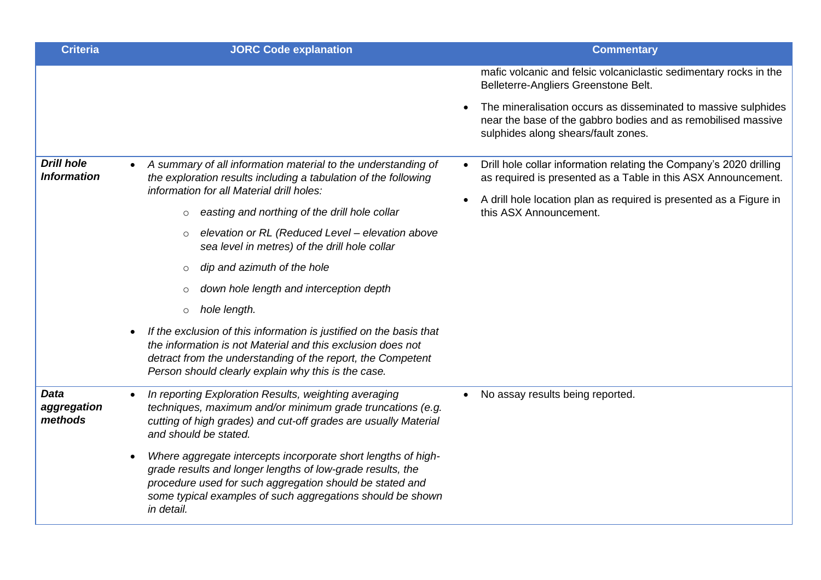| <b>Criteria</b>                         | <b>JORC Code explanation</b>                                                                                                                                                                                                                                                     | <b>Commentary</b>                                                                                                                                                                                                      |
|-----------------------------------------|----------------------------------------------------------------------------------------------------------------------------------------------------------------------------------------------------------------------------------------------------------------------------------|------------------------------------------------------------------------------------------------------------------------------------------------------------------------------------------------------------------------|
|                                         |                                                                                                                                                                                                                                                                                  | mafic volcanic and felsic volcaniclastic sedimentary rocks in the<br>Belleterre-Angliers Greenstone Belt.                                                                                                              |
|                                         |                                                                                                                                                                                                                                                                                  | The mineralisation occurs as disseminated to massive sulphides<br>$\bullet$<br>near the base of the gabbro bodies and as remobilised massive<br>sulphides along shears/fault zones.                                    |
| <b>Drill hole</b><br><b>Information</b> | A summary of all information material to the understanding of<br>the exploration results including a tabulation of the following<br>information for all Material drill holes:                                                                                                    | Drill hole collar information relating the Company's 2020 drilling<br>$\bullet$<br>as required is presented as a Table in this ASX Announcement.<br>A drill hole location plan as required is presented as a Figure in |
|                                         | easting and northing of the drill hole collar<br>$\circ$                                                                                                                                                                                                                         | this ASX Announcement.                                                                                                                                                                                                 |
|                                         | elevation or RL (Reduced Level - elevation above<br>$\circ$<br>sea level in metres) of the drill hole collar                                                                                                                                                                     |                                                                                                                                                                                                                        |
|                                         | dip and azimuth of the hole<br>$\circ$                                                                                                                                                                                                                                           |                                                                                                                                                                                                                        |
|                                         | down hole length and interception depth<br>$\circ$                                                                                                                                                                                                                               |                                                                                                                                                                                                                        |
|                                         | hole length.<br>$\circ$                                                                                                                                                                                                                                                          |                                                                                                                                                                                                                        |
|                                         | If the exclusion of this information is justified on the basis that<br>$\bullet$<br>the information is not Material and this exclusion does not<br>detract from the understanding of the report, the Competent<br>Person should clearly explain why this is the case.            |                                                                                                                                                                                                                        |
| <b>Data</b><br>aggregation<br>methods   | In reporting Exploration Results, weighting averaging<br>techniques, maximum and/or minimum grade truncations (e.g.<br>cutting of high grades) and cut-off grades are usually Material<br>and should be stated.                                                                  | No assay results being reported.<br>$\bullet$                                                                                                                                                                          |
|                                         | Where aggregate intercepts incorporate short lengths of high-<br>$\bullet$<br>grade results and longer lengths of low-grade results, the<br>procedure used for such aggregation should be stated and<br>some typical examples of such aggregations should be shown<br>in detail. |                                                                                                                                                                                                                        |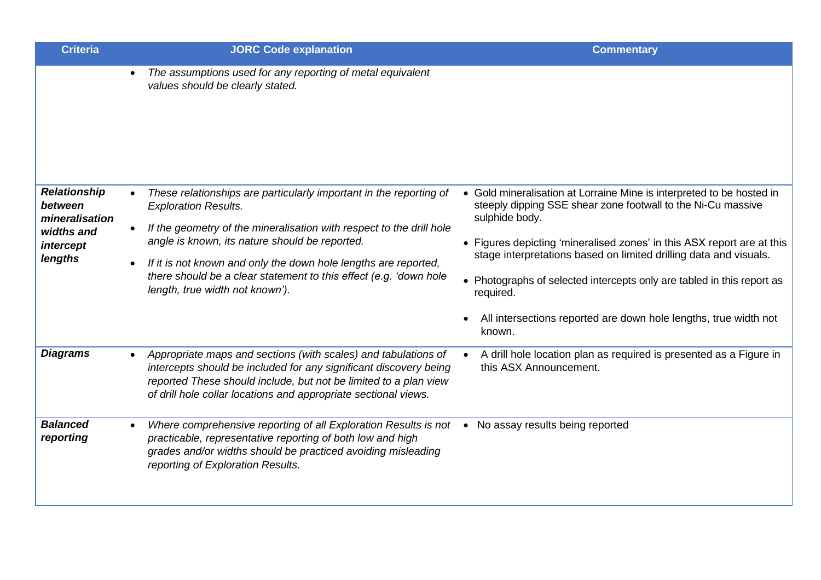| <b>Criteria</b>                                                                        | <b>JORC Code explanation</b>                                                                                                                                                                                                                                                                                                                                                                           | <b>Commentary</b>                                                                                                                                                                                                                                                                                                                                                                                                                                                           |
|----------------------------------------------------------------------------------------|--------------------------------------------------------------------------------------------------------------------------------------------------------------------------------------------------------------------------------------------------------------------------------------------------------------------------------------------------------------------------------------------------------|-----------------------------------------------------------------------------------------------------------------------------------------------------------------------------------------------------------------------------------------------------------------------------------------------------------------------------------------------------------------------------------------------------------------------------------------------------------------------------|
|                                                                                        | The assumptions used for any reporting of metal equivalent<br>values should be clearly stated.                                                                                                                                                                                                                                                                                                         |                                                                                                                                                                                                                                                                                                                                                                                                                                                                             |
| <b>Relationship</b><br>between<br>mineralisation<br>widths and<br>intercept<br>lengths | These relationships are particularly important in the reporting of<br><b>Exploration Results.</b><br>If the geometry of the mineralisation with respect to the drill hole<br>angle is known, its nature should be reported.<br>If it is not known and only the down hole lengths are reported,<br>there should be a clear statement to this effect (e.g. 'down hole<br>length, true width not known'). | • Gold mineralisation at Lorraine Mine is interpreted to be hosted in<br>steeply dipping SSE shear zone footwall to the Ni-Cu massive<br>sulphide body.<br>• Figures depicting 'mineralised zones' in this ASX report are at this<br>stage interpretations based on limited drilling data and visuals.<br>• Photographs of selected intercepts only are tabled in this report as<br>required.<br>All intersections reported are down hole lengths, true width not<br>known. |
| <b>Diagrams</b>                                                                        | Appropriate maps and sections (with scales) and tabulations of<br>$\bullet$<br>intercepts should be included for any significant discovery being<br>reported These should include, but not be limited to a plan view<br>of drill hole collar locations and appropriate sectional views.                                                                                                                | A drill hole location plan as required is presented as a Figure in<br>this ASX Announcement.                                                                                                                                                                                                                                                                                                                                                                                |
| <b>Balanced</b><br>reporting                                                           | Where comprehensive reporting of all Exploration Results is not<br>practicable, representative reporting of both low and high<br>grades and/or widths should be practiced avoiding misleading<br>reporting of Exploration Results.                                                                                                                                                                     | • No assay results being reported                                                                                                                                                                                                                                                                                                                                                                                                                                           |